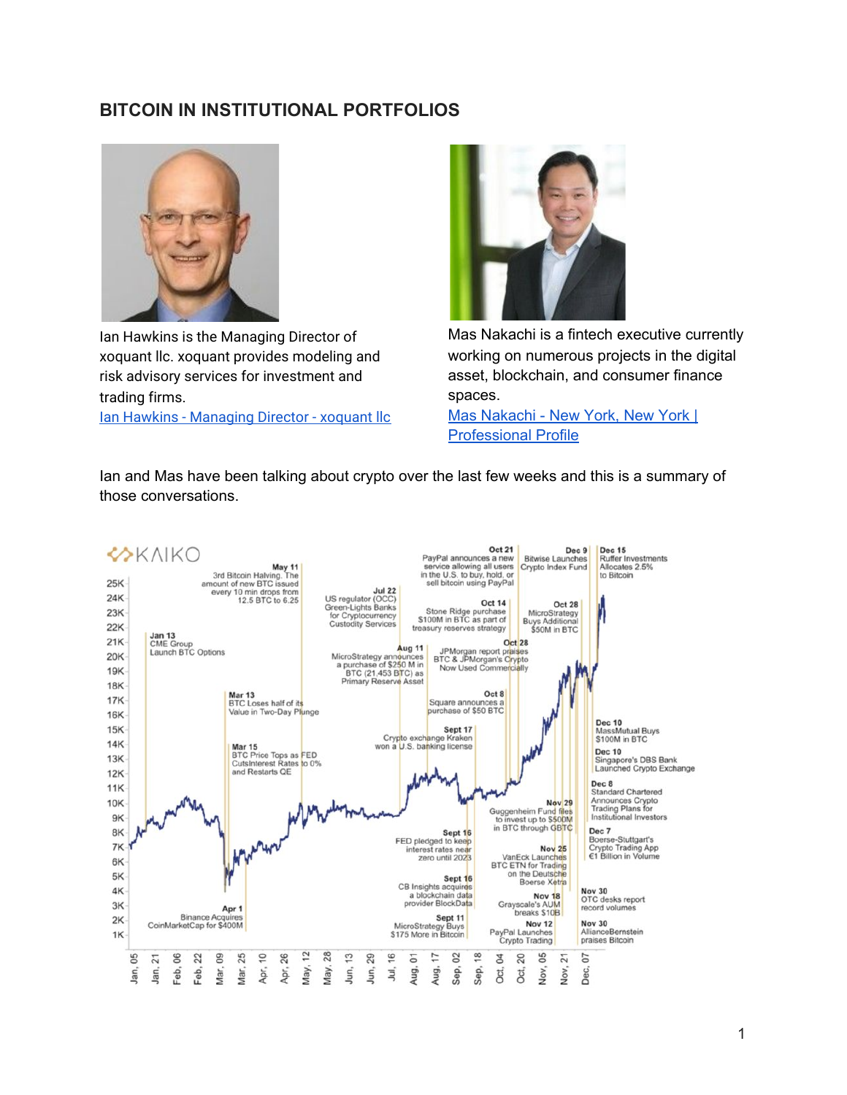# **BITCOIN IN INSTITUTIONAL PORTFOLIOS**



Ian Hawkins is the Managing Director of xoquant llc. xoquant provides modeling and risk advisory services for investment and trading firms.

[Ian Hawkins - Managing Director - xoquant llc](https://www.linkedin.com/in/ian-hawkins-xoquant)



Mas Nakachi is a fintech executive currently working on numerous projects in the digital asset, blockchain, and consumer finance spaces.

Mas [Nakachi](https://www.linkedin.com/in/mas-nakachi-b1b848) - New York, New York | [Professional](https://www.linkedin.com/in/mas-nakachi-b1b848) Profile

Ian and Mas have been talking about crypto over the last few weeks and this is a summary of those conversations.

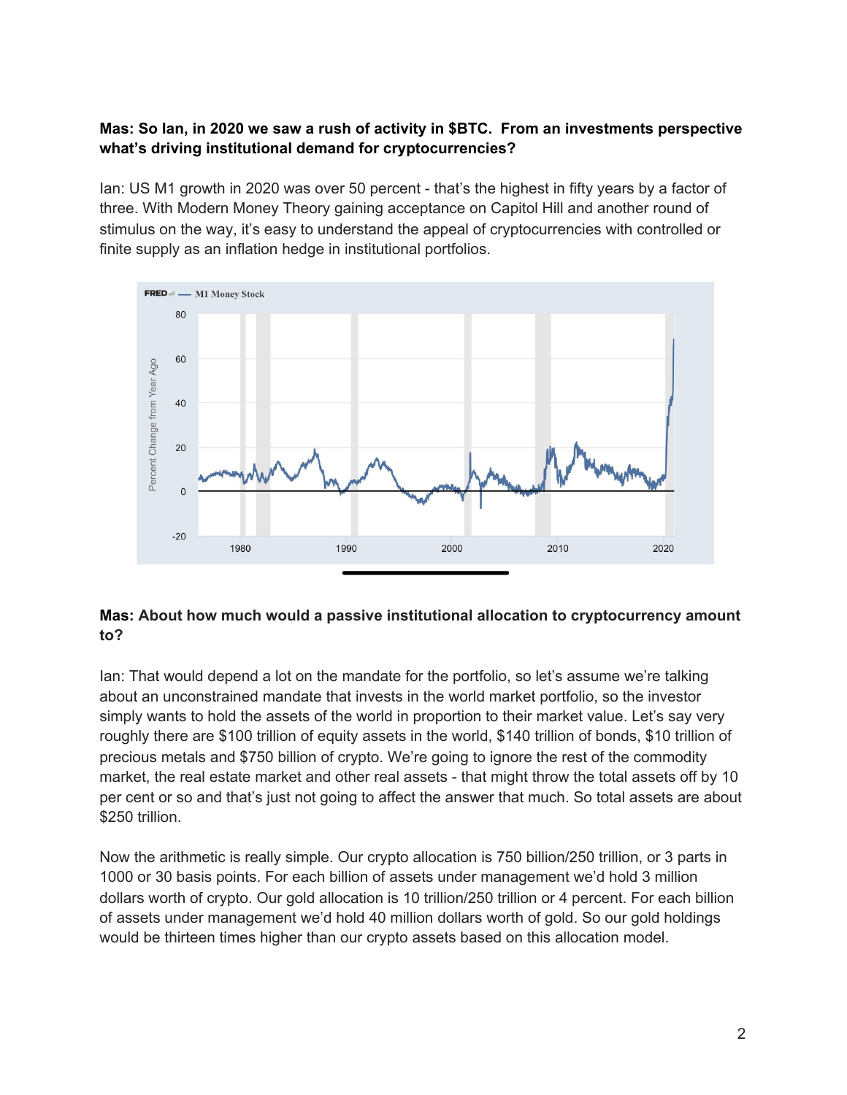### **Mas: So Ian, in 2020 we saw a rush of activity in \$BTC. From an investments perspective what's driving institutional demand for cryptocurrencies?**

Ian: US M1 growth in 2020 was over 50 percent - that's the highest in fifty years by a factor of three. With Modern Money Theory gaining acceptance on Capitol Hill and another round of stimulus on the way, it's easy to understand the appeal of cryptocurrencies with controlled or finite supply as an inflation hedge in institutional portfolios.



### **Mas: About how much would a passive institutional allocation to cryptocurrency amount to?**

Ian: That would depend a lot on the mandate for the portfolio, so let's assume we're talking about an unconstrained mandate that invests in the world market portfolio, so the investor simply wants to hold the assets of the world in proportion to their market value. Let's say very roughly there are \$100 trillion of equity assets in the world, \$140 trillion of bonds, \$10 trillion of precious metals and \$750 billion of crypto. We're going to ignore the rest of the commodity market, the real estate market and other real assets - that might throw the total assets off by 10 per cent or so and that's just not going to affect the answer that much. So total assets are about \$250 trillion.

Now the arithmetic is really simple. Our crypto allocation is 750 billion/250 trillion, or 3 parts in 1000 or 30 basis points. For each billion of assets under management we'd hold 3 million dollars worth of crypto. Our gold allocation is 10 trillion/250 trillion or 4 percent. For each billion of assets under management we'd hold 40 million dollars worth of gold. So our gold holdings would be thirteen times higher than our crypto assets based on this allocation model.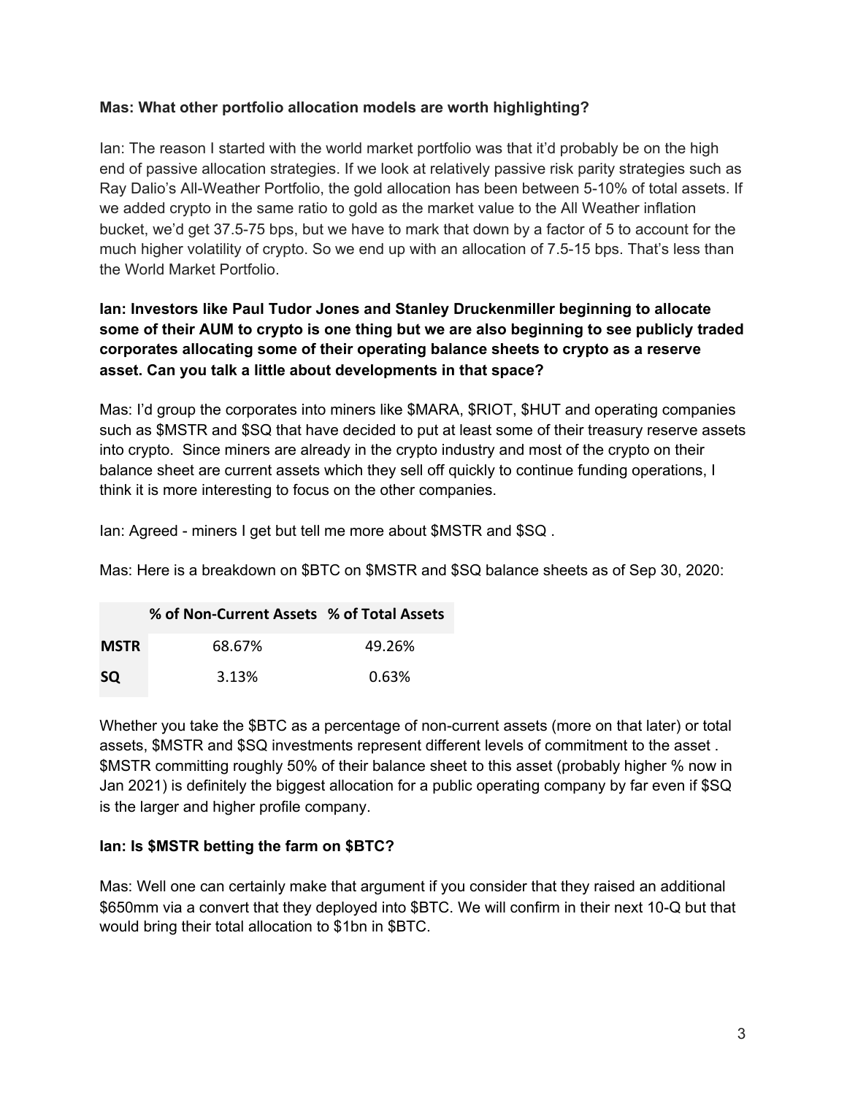### **Mas: What other portfolio allocation models are worth highlighting?**

Ian: The reason I started with the world market portfolio was that it'd probably be on the high end of passive allocation strategies. If we look at relatively passive risk parity strategies such as Ray Dalio's All-Weather Portfolio, the gold allocation has been between 5-10% of total assets. If we added crypto in the same ratio to gold as the market value to the All Weather inflation bucket, we'd get 37.5-75 bps, but we have to mark that down by a factor of 5 to account for the much higher volatility of crypto. So we end up with an allocation of 7.5-15 bps. That's less than the World Market Portfolio.

## **Ian: Investors like Paul Tudor Jones and Stanley Druckenmiller beginning to allocate some of their AUM to crypto is one thing but we are also beginning to see publicly traded corporates allocating some of their operating balance sheets to crypto as a reserve asset. Can you talk a little about developments in that space?**

Mas: I'd group the corporates into miners like \$MARA, \$RIOT, \$HUT and operating companies such as \$MSTR and \$SQ that have decided to put at least some of their treasury reserve assets into crypto. Since miners are already in the crypto industry and most of the crypto on their balance sheet are current assets which they sell off quickly to continue funding operations, I think it is more interesting to focus on the other companies.

Ian: Agreed - miners I get but tell me more about \$MSTR and \$SQ .

Mas: Here is a breakdown on \$BTC on \$MSTR and \$SQ balance sheets as of Sep 30, 2020:

|             | % of Non-Current Assets % of Total Assets |        |
|-------------|-------------------------------------------|--------|
| <b>MSTR</b> | 68.67%                                    | 49.26% |
| <b>SQ</b>   | 3.13%                                     | 0.63%  |

Whether you take the \$BTC as a percentage of non-current assets (more on that later) or total assets, \$MSTR and \$SQ investments represent different levels of commitment to the asset . \$MSTR committing roughly 50% of their balance sheet to this asset (probably higher % now in Jan 2021) is definitely the biggest allocation for a public operating company by far even if \$SQ is the larger and higher profile company.

### **Ian: Is \$MSTR betting the farm on \$BTC?**

Mas: Well one can certainly make that argument if you consider that they raised an additional \$650mm via a convert that they deployed into \$BTC. We will confirm in their next 10-Q but that would bring their total allocation to \$1bn in \$BTC.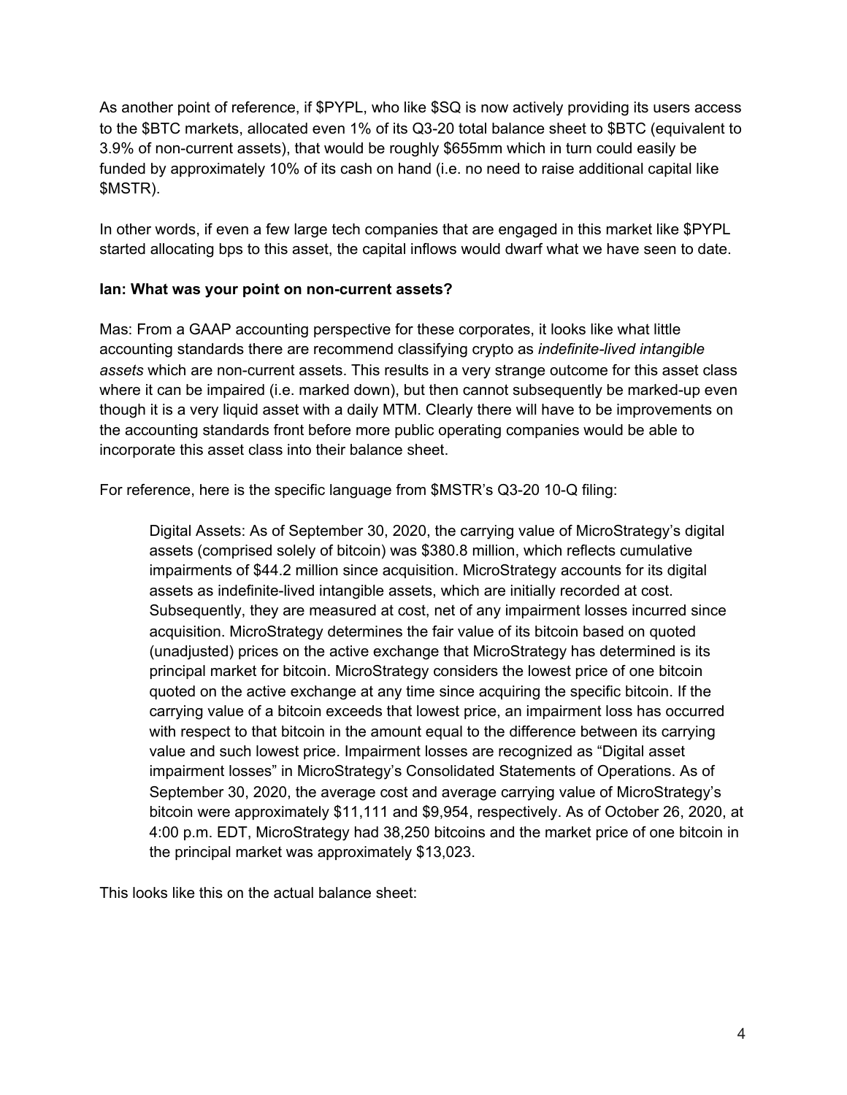As another point of reference, if \$PYPL, who like \$SQ is now actively providing its users access to the \$BTC markets, allocated even 1% of its Q3-20 total balance sheet to \$BTC (equivalent to 3.9% of non-current assets), that would be roughly \$655mm which in turn could easily be funded by approximately 10% of its cash on hand (i.e. no need to raise additional capital like \$MSTR).

In other words, if even a few large tech companies that are engaged in this market like \$PYPL started allocating bps to this asset, the capital inflows would dwarf what we have seen to date.

### **Ian: What was your point on non-current assets?**

Mas: From a GAAP accounting perspective for these corporates, it looks like what little accounting standards there are recommend classifying crypto as *indefinite-lived intangible assets* which are non-current assets. This results in a very strange outcome for this asset class where it can be impaired (i.e. marked down), but then cannot subsequently be marked-up even though it is a very liquid asset with a daily MTM. Clearly there will have to be improvements on the accounting standards front before more public operating companies would be able to incorporate this asset class into their balance sheet.

For reference, here is the specific language from \$MSTR's Q3-20 10-Q filing:

Digital Assets: As of September 30, 2020, the carrying value of MicroStrategy's digital assets (comprised solely of bitcoin) was \$380.8 million, which reflects cumulative impairments of \$44.2 million since acquisition. MicroStrategy accounts for its digital assets as indefinite-lived intangible assets, which are initially recorded at cost. Subsequently, they are measured at cost, net of any impairment losses incurred since acquisition. MicroStrategy determines the fair value of its bitcoin based on quoted (unadjusted) prices on the active exchange that MicroStrategy has determined is its principal market for bitcoin. MicroStrategy considers the lowest price of one bitcoin quoted on the active exchange at any time since acquiring the specific bitcoin. If the carrying value of a bitcoin exceeds that lowest price, an impairment loss has occurred with respect to that bitcoin in the amount equal to the difference between its carrying value and such lowest price. Impairment losses are recognized as "Digital asset impairment losses" in MicroStrategy's Consolidated Statements of Operations. As of September 30, 2020, the average cost and average carrying value of MicroStrategy's bitcoin were approximately \$11,111 and \$9,954, respectively. As of October 26, 2020, at 4:00 p.m. EDT, MicroStrategy had 38,250 bitcoins and the market price of one bitcoin in the principal market was approximately \$13,023.

This looks like this on the actual balance sheet: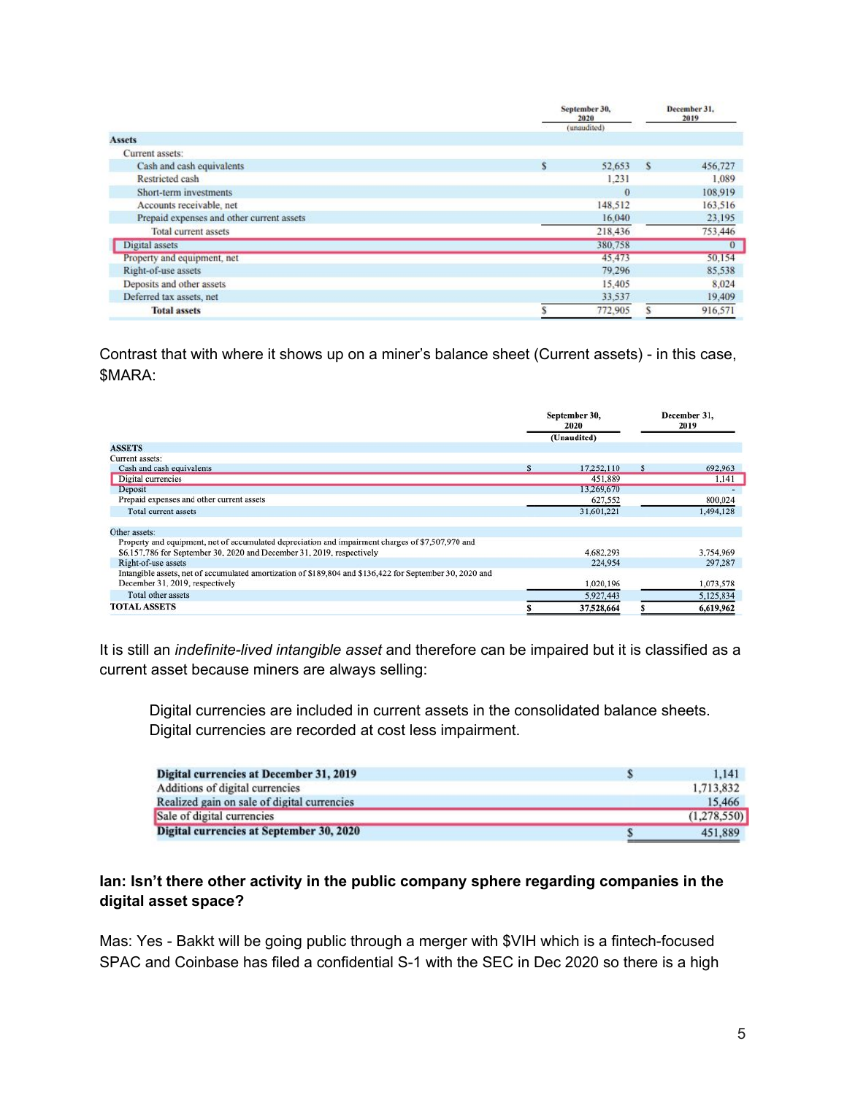|                                           | September 30,<br>2020<br>(unaudited) | December 31,<br>2019 |  |
|-------------------------------------------|--------------------------------------|----------------------|--|
| <b>Assets</b>                             |                                      |                      |  |
| Current assets:                           |                                      |                      |  |
| Cash and cash equivalents                 | \$<br>S<br>52,653                    | 456,727              |  |
| Restricted cash                           | 1.231                                | 1,089                |  |
| Short-term investments                    | $\theta$                             | 108,919              |  |
| Accounts receivable, net                  | 148,512                              | 163,516              |  |
| Prepaid expenses and other current assets | 16,040                               | 23,195               |  |
| <b>Total current assets</b>               | 218,436                              | 753,446              |  |
| Digital assets                            | 380,758                              | $\overline{0}$       |  |
| Property and equipment, net               | 45,473                               | 50,154               |  |
| Right-of-use assets                       | 79,296                               | 85,538               |  |
| Deposits and other assets                 | 15,405                               | 8,024                |  |
| Deferred tax assets, net                  | 33,537                               | 19,409               |  |
| <b>Total assets</b>                       | 772,905                              | 916,571              |  |
|                                           |                                      |                      |  |

Contrast that with where it shows up on a miner's balance sheet (Current assets) - in this case, \$MARA:

|                                                                                                          |   | September 30,<br>2020 | December 31.<br>2019 |           |
|----------------------------------------------------------------------------------------------------------|---|-----------------------|----------------------|-----------|
|                                                                                                          |   | (Unaudited)           |                      |           |
| <b>ASSETS</b>                                                                                            |   |                       |                      |           |
| Current assets:                                                                                          |   |                       |                      |           |
| Cash and cash equivalents                                                                                | s | 17,252,110            | S.                   | 692,963   |
| Digital currencies                                                                                       |   | 451,889               |                      | 1,141     |
| Deposit                                                                                                  |   | 13.269,670            |                      |           |
| Prepaid expenses and other current assets                                                                |   | 627,552               |                      | 800,024   |
| Total current assets                                                                                     |   | 31,601,221            |                      | 1,494,128 |
| Other assets:                                                                                            |   |                       |                      |           |
| Property and equipment, net of accumulated depreciation and impairment charges of \$7,507,970 and        |   |                       |                      |           |
| \$6,157,786 for September 30, 2020 and December 31, 2019, respectively                                   |   | 4.682.293             |                      | 3,754,969 |
| Right-of-use assets                                                                                      |   | 224,954               |                      | 297,287   |
| Intangible assets, net of accumulated amortization of \$189,804 and \$136,422 for September 30, 2020 and |   |                       |                      |           |
| December 31, 2019, respectively                                                                          |   | 1,020,196             |                      | 1,073,578 |
| Total other assets                                                                                       |   | 5,927,443             |                      | 5,125,834 |
| <b>TOTAL ASSETS</b>                                                                                      |   | 37,528,664            |                      | 6,619,962 |

It is still an *indefinite-lived intangible asset* and therefore can be impaired but it is classified as a current asset because miners are always selling:

Digital currencies are included in current assets in the consolidated balance sheets. Digital currencies are recorded at cost less impairment.

| Digital currencies at December 31, 2019     | 1.141       |
|---------------------------------------------|-------------|
| Additions of digital currencies             | 1,713,832   |
| Realized gain on sale of digital currencies | 15.466      |
| Sale of digital currencies                  | (1,278,550) |
| Digital currencies at September 30, 2020    | 451,889     |

### **Ian: Isn't there other activity in the public company sphere regarding companies in the digital asset space?**

Mas: Yes - Bakkt will be going public through a merger with \$VIH which is a fintech-focused SPAC and Coinbase has filed a confidential S-1 with the SEC in Dec 2020 so there is a high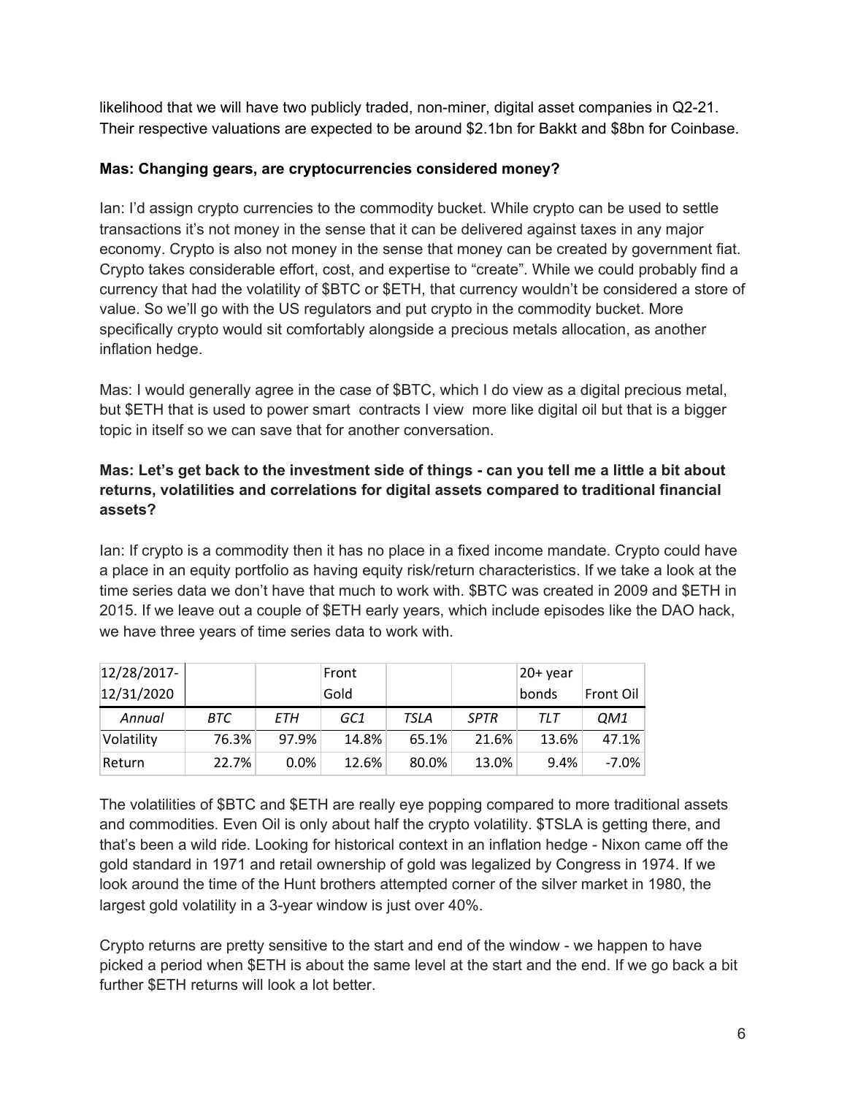likelihood that we will have two publicly traded, non-miner, digital asset companies in Q2-21. Their respective valuations are expected to be around \$2.1bn for Bakkt and \$8bn for Coinbase.

## **Mas: Changing gears, are cryptocurrencies considered money?**

Ian: I'd assign crypto currencies to the commodity bucket. While crypto can be used to settle transactions it's not money in the sense that it can be delivered against taxes in any major economy. Crypto is also not money in the sense that money can be created by government fiat. Crypto takes considerable effort, cost, and expertise to "create". While we could probably find a currency that had the volatility of \$BTC or \$ETH, that currency wouldn't be considered a store of value. So we'll go with the US regulators and put crypto in the commodity bucket. More specifically crypto would sit comfortably alongside a precious metals allocation, as another inflation hedge.

Mas: I would generally agree in the case of \$BTC, which I do view as a digital precious metal, but \$ETH that is used to power smart contracts I view more like digital oil but that is a bigger topic in itself so we can save that for another conversation.

## Mas: Let's get back to the investment side of things - can you tell me a little a bit about **returns, volatilities and correlations for digital assets compared to traditional financial assets?**

Ian: If crypto is a commodity then it has no place in a fixed income mandate. Crypto could have a place in an equity portfolio as having equity risk/return characteristics. If we take a look at the time series data we don't have that much to work with. \$BTC was created in 2009 and \$ETH in 2015. If we leave out a couple of \$ETH early years, which include episodes like the DAO hack, we have three years of time series data to work with.

| $12/28/2017$ - |       |         | Front |       |             | $20+$ year   |           |
|----------------|-------|---------|-------|-------|-------------|--------------|-----------|
| 12/31/2020     |       |         | Gold  |       |             | <b>bonds</b> | Front Oil |
| Annual         | BTC   | ETH     | GC1   | TSLA  | <b>SPTR</b> | TLT          | QM1       |
| Volatility     | 76.3% | 97.9%   | 14.8% | 65.1% | 21.6%       | 13.6%        | 47.1%     |
| Return         | 22.7% | $0.0\%$ | 12.6% | 80.0% | 13.0%       | 9.4%         | $-7.0\%$  |

The volatilities of \$BTC and \$ETH are really eye popping compared to more traditional assets and commodities. Even Oil is only about half the crypto volatility. \$TSLA is getting there, and that's been a wild ride. Looking for historical context in an inflation hedge - Nixon came off the gold standard in 1971 and retail ownership of gold was legalized by Congress in 1974. If we look around the time of the Hunt brothers attempted corner of the silver market in 1980, the largest gold volatility in a 3-year window is just over 40%.

Crypto returns are pretty sensitive to the start and end of the window - we happen to have picked a period when \$ETH is about the same level at the start and the end. If we go back a bit further \$ETH returns will look a lot better.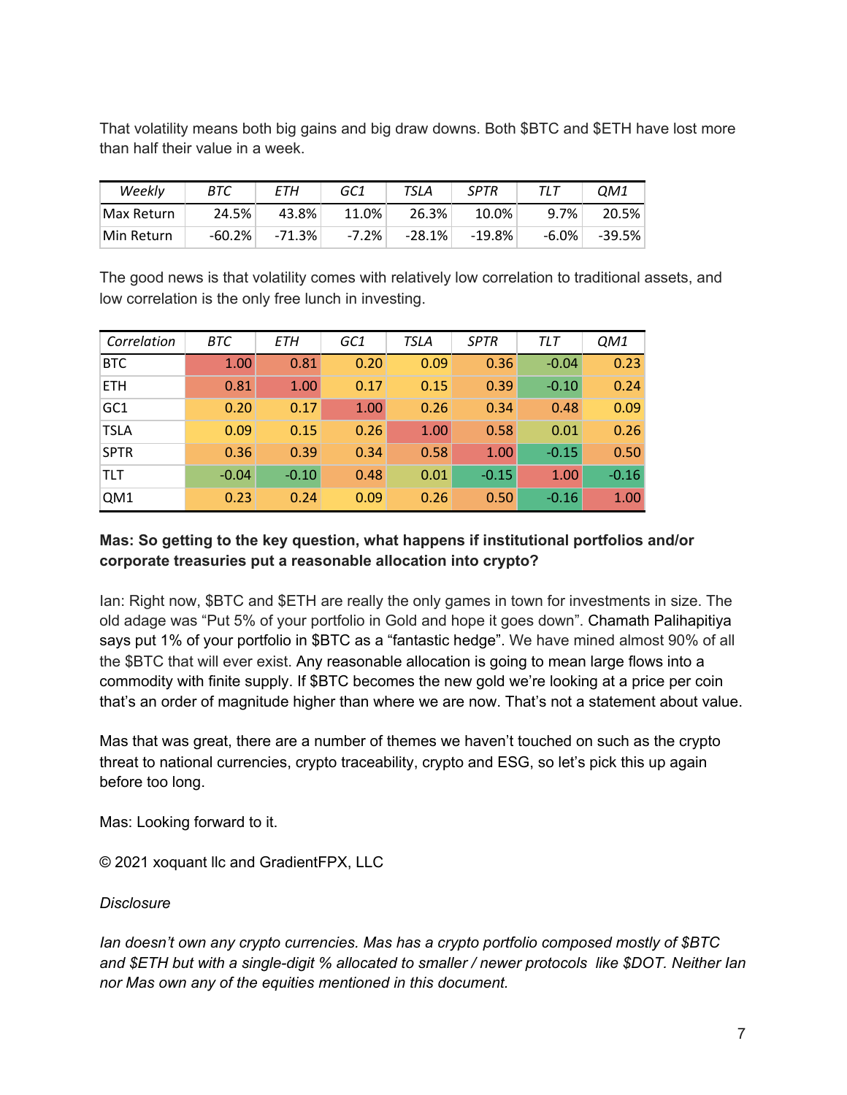That volatility means both big gains and big draw downs. Both \$BTC and \$ETH have lost more than half their value in a week.

| Weekly     | BTC       | ETH      | GC1      | TSLA     | <b>SPTR</b> |          | OM1      |
|------------|-----------|----------|----------|----------|-------------|----------|----------|
| Max Return | 24.5%     | 43.8%    | 11.0%    | 26.3%    | $10.0\%$    | 9.7%     | 20.5%    |
| Min Return | $-60.2\%$ | $-71.3%$ | $-7.2\%$ | $-28.1%$ | $-19.8%$    | $-6.0\%$ | $-39.5%$ |

The good news is that volatility comes with relatively low correlation to traditional assets, and low correlation is the only free lunch in investing.

| Correlation | BTC     | ETH     | GC1  | <b>TSLA</b> | <b>SPTR</b> | TLT     | QM1     |
|-------------|---------|---------|------|-------------|-------------|---------|---------|
| <b>BTC</b>  | 1.00    | 0.81    | 0.20 | 0.09        | 0.36        | $-0.04$ | 0.23    |
| <b>ETH</b>  | 0.81    | 1.00    | 0.17 | 0.15        | 0.39        | $-0.10$ | 0.24    |
| GC1         | 0.20    | 0.17    | 1.00 | 0.26        | 0.34        | 0.48    | 0.09    |
| <b>TSLA</b> | 0.09    | 0.15    | 0.26 | 1.00        | 0.58        | 0.01    | 0.26    |
| <b>SPTR</b> | 0.36    | 0.39    | 0.34 | 0.58        | 1.00        | $-0.15$ | 0.50    |
| TLT         | $-0.04$ | $-0.10$ | 0.48 | 0.01        | $-0.15$     | 1.00    | $-0.16$ |
| QM1         | 0.23    | 0.24    | 0.09 | 0.26        | 0.50        | $-0.16$ | 1.00    |

## **Mas: So getting to the key question, what happens if institutional portfolios and/or corporate treasuries put a reasonable allocation into crypto?**

Ian: Right now, \$BTC and \$ETH are really the only games in town for investments in size. The old adage was "Put 5% of your portfolio in Gold and hope it goes down". Chamath Palihapitiya says put 1% of your portfolio in \$BTC as a "fantastic hedge". We have mined almost 90% of all the \$BTC that will ever exist. Any reasonable allocation is going to mean large flows into a commodity with finite supply. If \$BTC becomes the new gold we're looking at a price per coin that's an order of magnitude higher than where we are now. That's not a statement about value.

Mas that was great, there are a number of themes we haven't touched on such as the crypto threat to national currencies, crypto traceability, crypto and ESG, so let's pick this up again before too long.

Mas: Looking forward to it.

© 2021 xoquant llc and GradientFPX, LLC

#### *Disclosure*

*Ian doesn't own any crypto currencies. Mas has a crypto portfolio composed mostly of \$BTC and \$ETH but with a single-digit % allocated to smaller / newer protocols like \$DOT. Neither Ian nor Mas own any of the equities mentioned in this document.*